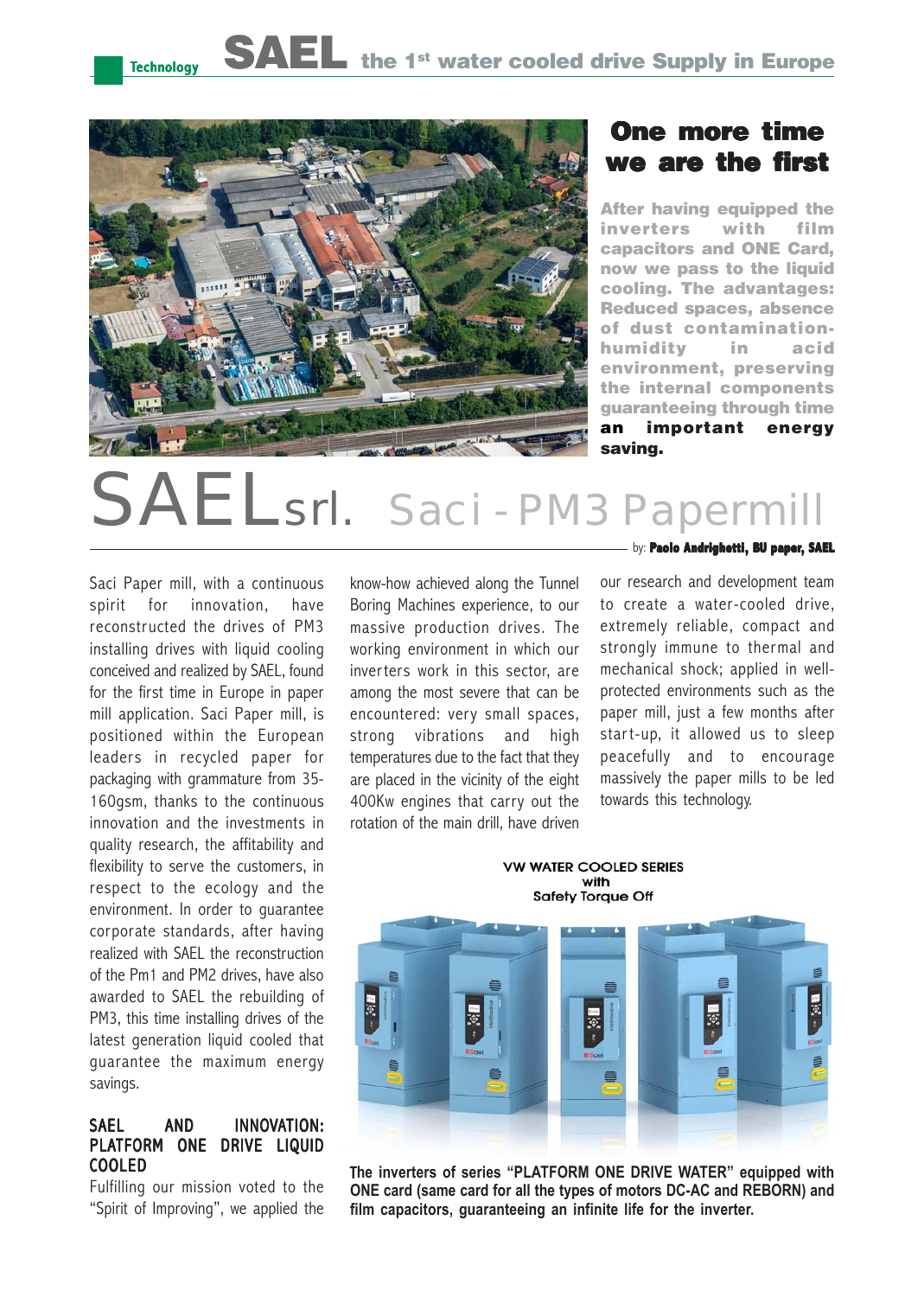

### One more time we are the first

After having equipped the inverters with film capacitors and ONE Card, now we pass to the liquid cooling. The advantages: Reduced spaces, absence of dust contaminationhumidity in acid environment, preserving the internal components guaranteeing through time an important energy saving.

# Saci - PM3

Saci Paper mill, with a continuous spirit for innovation, have reconstructed the drives of PM3 installing drives with liquid cooling conceived and realized by SAEL, found for the first time in Europe in paper mill application. Saci Paper mill, is positioned within the European leaders in recycled paper for packaging with grammature from 35- 160gsm, thanks to the continuous innovation and the investments in quality research, the affitability and flexibility to serve the customers, in respect to the ecology and the environment. In order to guarantee corporate standards, after having realized with SAEL the reconstruction of the Pm1 and PM2 drives, have also awarded to SAEL the rebuilding of PM3, this time installing drives of the latest generation liquid cooled that guarantee the maximum energy savings.

#### SAEL AND INNOVATION: PLATFORM ONE DRIVE LIQUID COOLED

Fulfilling our mission voted to the "Spirit of Improving", we applied the know-how achieved along the Tunnel Boring Machines experience, to our massive production drives. The working environment in which our inverters work in this sector, are among the most severe that can be encountered: very small spaces, strong vibrations and high temperatures due to the fact that they are placed in the vicinity of the eight 400Kw engines that carry out the rotation of the main drill, have driven by: **Paolo Andrighetti, BU paper, SAEL** 

our research and development team to create a water-cooled drive, extremely reliable, compact and strongly immune to thermal and mechanical shock; applied in wellprotected environments such as the paper mill, just a few months after start-up, it allowed us to sleep peacefully and to encourage massively the paper mills to be led towards this technology.

**VW WATER COOLED SERIES** with **Safety Torque Off** 



T**he inverters of series "PLATFORM ONE DRIVE WATER" equipped with ONE card (same card for all the types of motors DC-AC and REBORN) and film capacitors, guaranteeing an infinite life for the inverter.**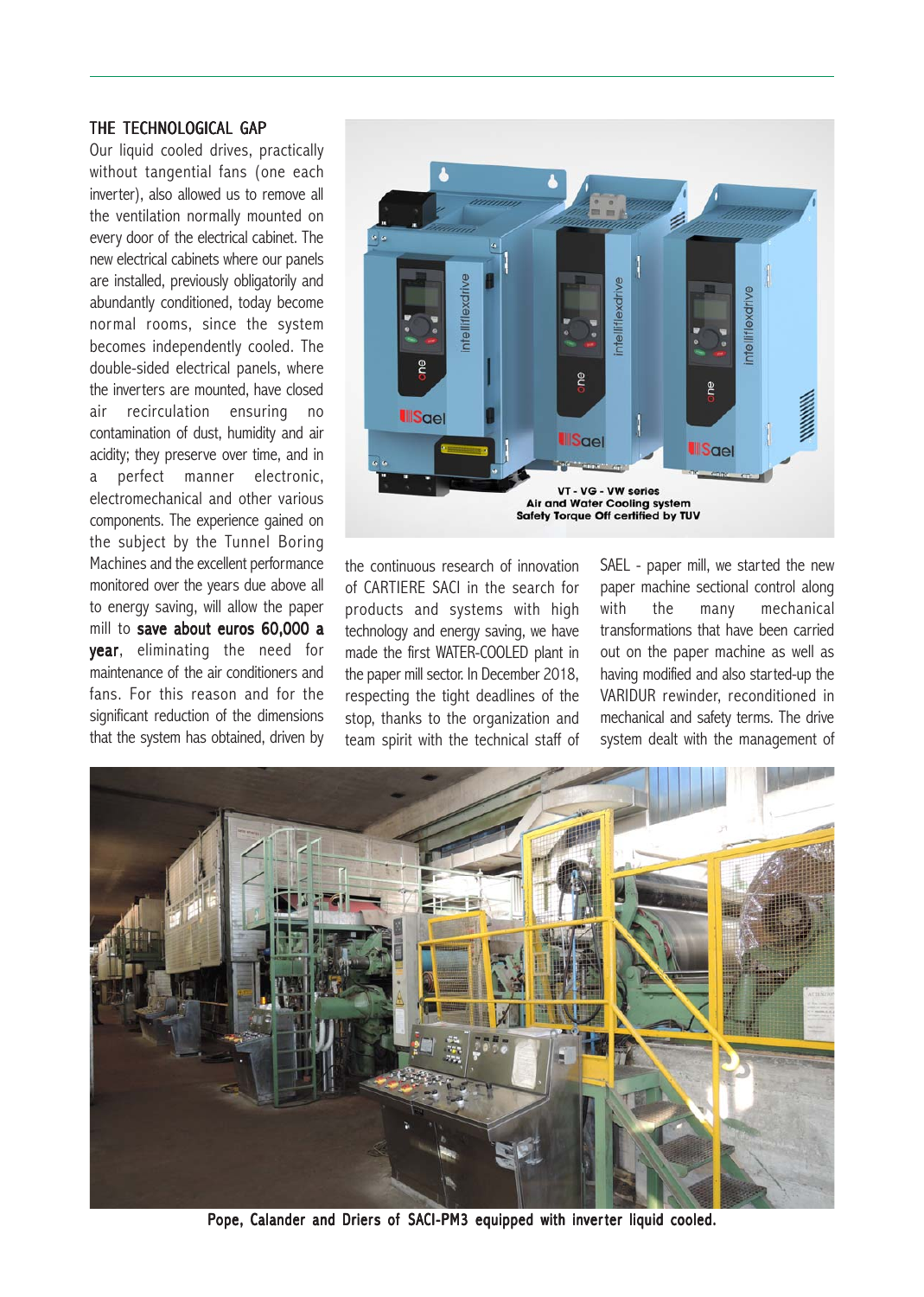#### THE TECHNOLOGICAL GAP

Our liquid cooled drives, practically without tangential fans (one each inverter), also allowed us to remove all the ventilation normally mounted on every door of the electrical cabinet. The new electrical cabinets where our panels are installed, previously obligatorily and abundantly conditioned, today become normal rooms, since the system becomes independently cooled. The double-sided electrical panels, where the inverters are mounted, have closed air recirculation ensuring no contamination of dust, humidity and air acidity; they preserve over time, and in a perfect manner electronic, electromechanical and other various components. The experience gained on the subject by the Tunnel Boring Machines and the excellent performance monitored over the years due above all to energy saving, will allow the paper mill to save about euros 60,000 a **year**, eliminating the need for maintenance of the air conditioners and fans. For this reason and for the significant reduction of the dimensions that the system has obtained, driven by



the continuous research of innovation of CARTIERE SACI in the search for products and systems with high technology and energy saving, we have made the first WATER-COOLED plant in the paper mill sector. In December 2018, respecting the tight deadlines of the stop, thanks to the organization and team spirit with the technical staff of SAEL - paper mill, we started the new paper machine sectional control along with the many mechanical transformations that have been carried out on the paper machine as well as having modified and also started-up the VARIDUR rewinder, reconditioned in mechanical and safety terms. The drive system dealt with the management of



Pope, Calander and Driers of SACI-PM3 equipped with inverter liquid cooled.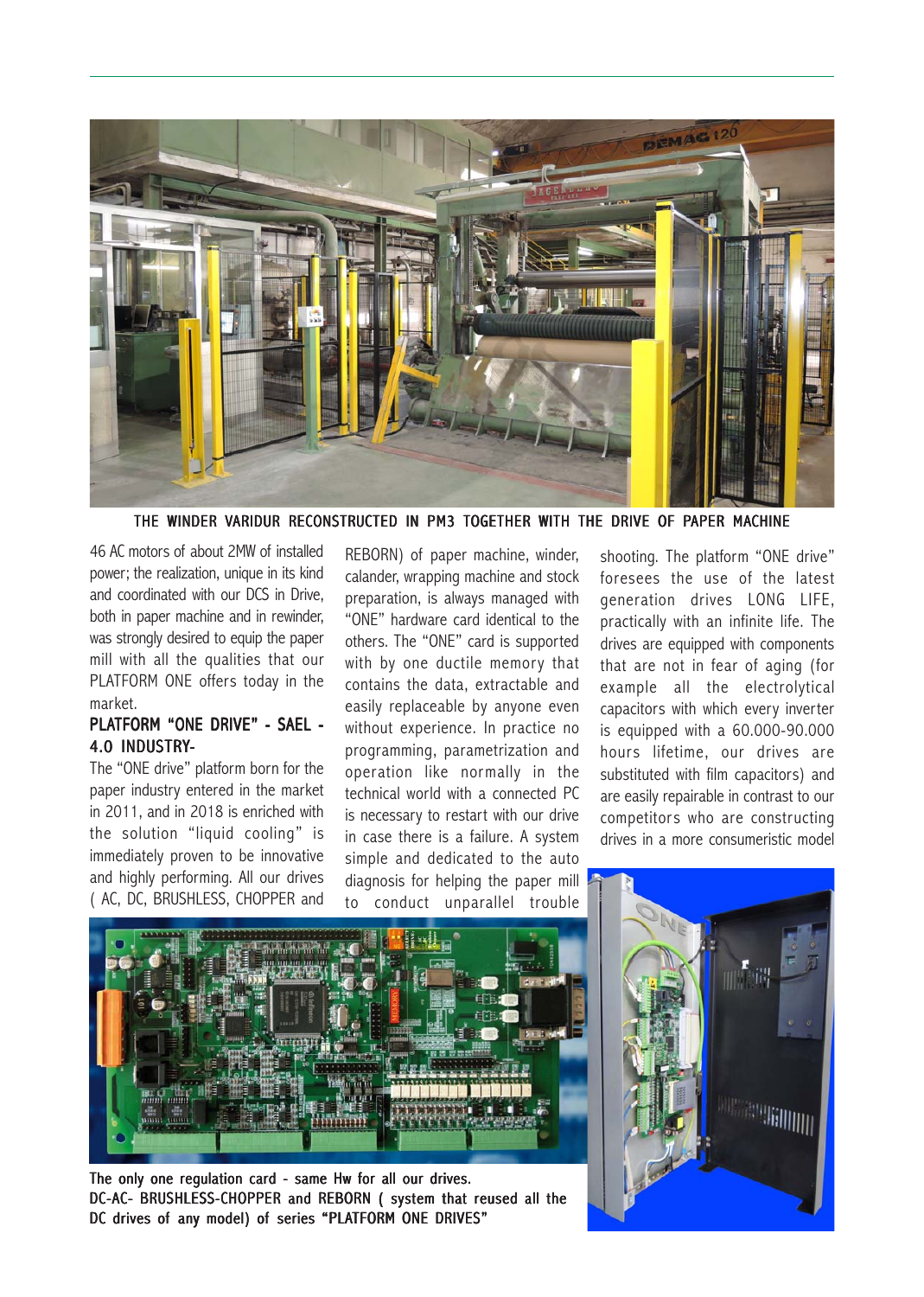

THE WINDER VARIDUR RECONSTRUCTED IN PM3 TOGETHER WITH THE DRIVE OF PAPER MACHINE

46 AC motors of about 2MW of installed power; the realization, unique in its kind and coordinated with our DCS in Drive, both in paper machine and in rewinder, was strongly desired to equip the paper mill with all the qualities that our PLATFORM ONE offers today in the market.

#### PLATFORM "ONE DRIVE" - SAEL -4.0 INDUSTRY-

The "ONE drive" platform born for the paper industry entered in the market in 2011, and in 2018 is enriched with the solution "liquid cooling" is immediately proven to be innovative and highly performing. All our drives ( AC, DC, BRUSHLESS, CHOPPER and

REBORN) of paper machine, winder, calander, wrapping machine and stock preparation, is always managed with "ONE" hardware card identical to the others. The "ONE" card is supported with by one ductile memory that contains the data, extractable and easily replaceable by anyone even without experience. In practice no programming, parametrization and operation like normally in the technical world with a connected PC is necessary to restart with our drive in case there is a failure. A system simple and dedicated to the auto diagnosis for helping the paper mill to conduct unparallel trouble

shooting. The platform "ONE drive" foresees the use of the latest generation drives LONG LIFE, practically with an infinite life. The drives are equipped with components that are not in fear of aging (for example all the electrolytical capacitors with which every inverter is equipped with a 60.000-90.000 hours lifetime, our drives are substituted with film capacitors) and are easily repairable in contrast to our competitors who are constructing drives in a more consumeristic model



The only one regulation card - same Hw for all our drives. DC-AC- BRUSHLESS-CHOPPER and REBORN ( system that reused all the DC drives of any model) of series "PLATFORM ONE DRIVES"

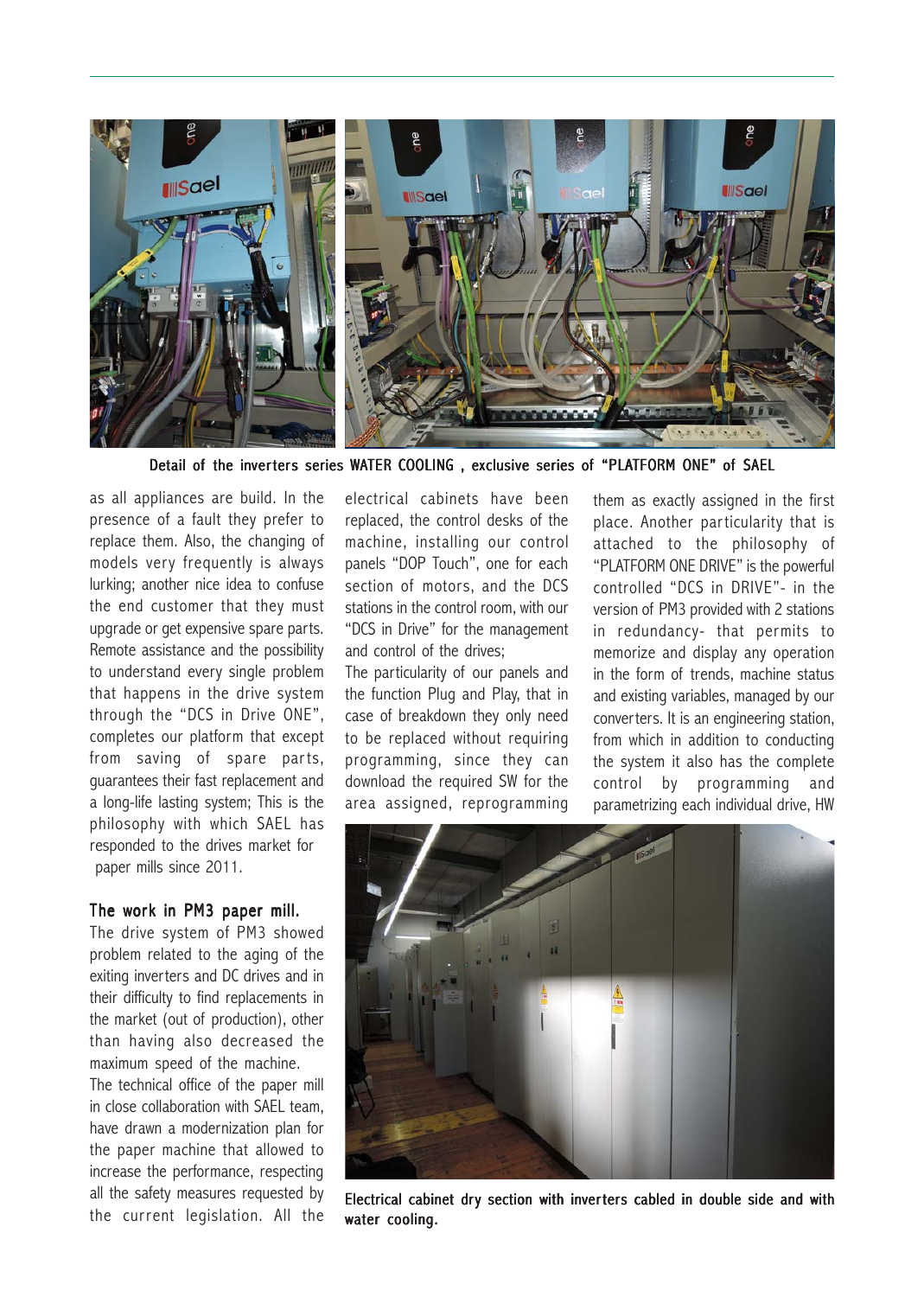

Detail of the inverters series WATER COOLING, exclusive series of "PLATFORM ONE" of SAEL

as all appliances are build. In the presence of a fault they prefer to replace them. Also, the changing of models very frequently is always lurking; another nice idea to confuse the end customer that they must upgrade or get expensive spare parts. Remote assistance and the possibility to understand every single problem that happens in the drive system through the "DCS in Drive ONE", completes our platform that except from saving of spare parts, guarantees their fast replacement and a long-life lasting system; This is the philosophy with which SAEL has responded to the drives market for paper mills since 2011.

#### The work in PM3 paper mill.

The drive system of PM3 showed problem related to the aging of the exiting inverters and DC drives and in their difficulty to find replacements in the market (out of production), other than having also decreased the maximum speed of the machine.

The technical office of the paper mill in close collaboration with SAEL team, have drawn a modernization plan for the paper machine that allowed to increase the performance, respecting all the safety measures requested by the current legislation. All the

electrical cabinets have been replaced, the control desks of the machine, installing our control panels "DOP Touch", one for each section of motors, and the DCS stations in the control room, with our "DCS in Drive" for the management and control of the drives;

The particularity of our panels and the function Plug and Play, that in case of breakdown they only need to be replaced without requiring programming, since they can download the required SW for the area assigned, reprogramming them as exactly assigned in the first place. Another particularity that is attached to the philosophy of "PLATFORM ONE DRIVE" is the powerful controlled "DCS in DRIVE"- in the version of PM3 provided with 2 stations in redundancy- that permits to memorize and display any operation in the form of trends, machine status and existing variables, managed by our converters. It is an engineering station, from which in addition to conducting the system it also has the complete control by programming and parametrizing each individual drive, HW



Electrical cabinet dry section with inverters cabled in double side and with water cooling.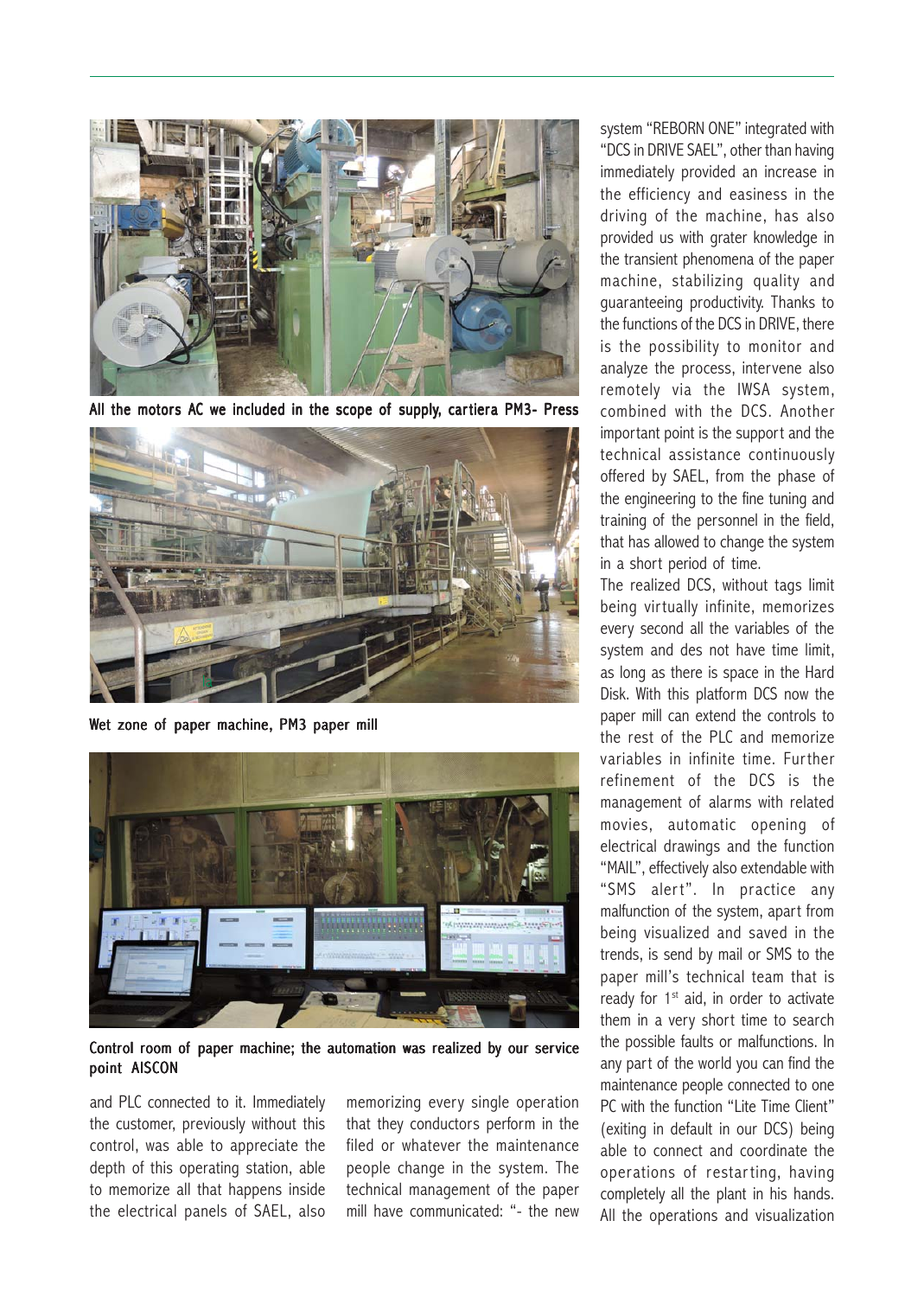

All the motors AC we included in the scope of supply, cartiera PM3- Press



Wet zone of paper machine, PM3 paper mill



Control room of paper machine; the automation was realized by our service point AISCON

and PLC connected to it. Immediately the customer, previously without this control, was able to appreciate the depth of this operating station, able to memorize all that happens inside the electrical panels of SAEL, also

memorizing every single operation that they conductors perform in the filed or whatever the maintenance people change in the system. The technical management of the paper mill have communicated: "- the new system "REBORN ONE" integrated with "DCS in DRIVE SAEL", other than having immediately provided an increase in the efficiency and easiness in the driving of the machine, has also provided us with grater knowledge in the transient phenomena of the paper machine, stabilizing quality and guaranteeing productivity. Thanks to the functions of the DCS in DRIVE, there is the possibility to monitor and analyze the process, intervene also remotely via the IWSA system, combined with the DCS. Another important point is the support and the technical assistance continuously offered by SAEL, from the phase of the engineering to the fine tuning and training of the personnel in the field, that has allowed to change the system in a short period of time.

The realized DCS, without tags limit being virtually infinite, memorizes every second all the variables of the system and des not have time limit, as long as there is space in the Hard Disk. With this platform DCS now the paper mill can extend the controls to the rest of the PLC and memorize variables in infinite time. Further refinement of the DCS is the management of alarms with related movies, automatic opening of electrical drawings and the function "MAIL", effectively also extendable with "SMS alert". In practice any malfunction of the system, apart from being visualized and saved in the trends, is send by mail or SMS to the paper mill's technical team that is ready for  $1<sup>st</sup>$  aid, in order to activate them in a very short time to search the possible faults or malfunctions. In any part of the world you can find the maintenance people connected to one PC with the function "Lite Time Client" (exiting in default in our DCS) being able to connect and coordinate the operations of restarting, having completely all the plant in his hands. All the operations and visualization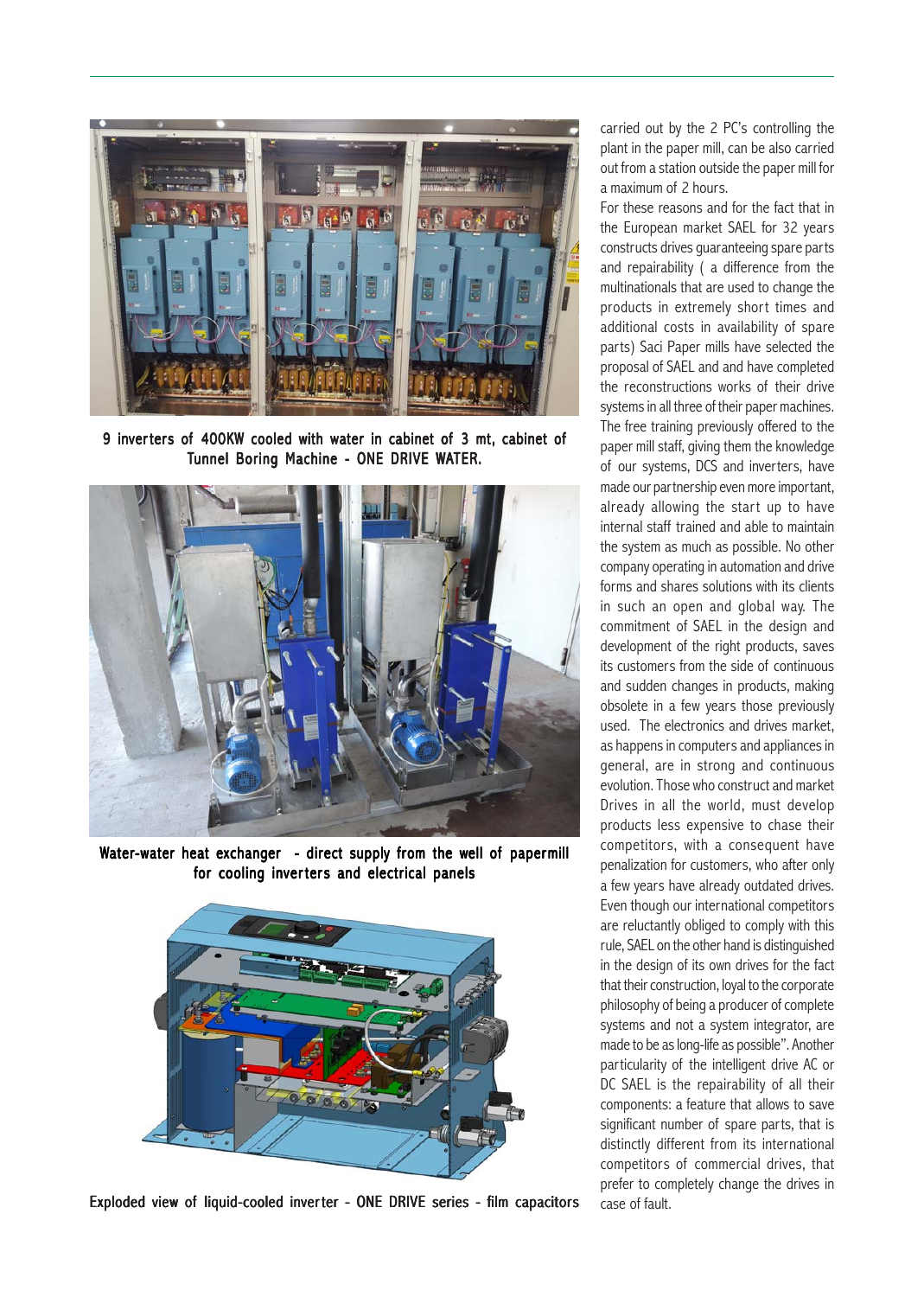

9 inverters of 400KW cooled with water in cabinet of 3 mt, cabinet of Tunnel Boring Machine - ONE DRIVE WATER.



Water-water heat exchanger - direct supply from the well of papermill for cooling inverters and electrical panels



Exploded view of liquid-cooled inverter - ONE DRIVE series - film capacitors

carried out by the 2 PC's controlling the plant in the paper mill, can be also carried out from a station outside the paper mill for a maximum of 2 hours.

For these reasons and for the fact that in the European market SAEL for 32 years constructs drives guaranteeing spare parts and repairability ( a difference from the multinationals that are used to change the products in extremely short times and additional costs in availability of spare parts) Saci Paper mills have selected the proposal of SAEL and and have completed the reconstructions works of their drive systems in all three of their paper machines. The free training previously offered to the paper mill staff, giving them the knowledge of our systems, DCS and inverters, have made our partnership even more important, already allowing the start up to have internal staff trained and able to maintain the system as much as possible. No other company operating in automation and drive forms and shares solutions with its clients in such an open and global way. The commitment of SAEL in the design and development of the right products, saves its customers from the side of continuous and sudden changes in products, making obsolete in a few years those previously used. The electronics and drives market, as happens in computers and appliances in general, are in strong and continuous evolution. Those who construct and market Drives in all the world, must develop products less expensive to chase their competitors, with a consequent have penalization for customers, who after only a few years have already outdated drives. Even though our international competitors are reluctantly obliged to comply with this rule, SAEL on the other hand is distinguished in the design of its own drives for the fact that their construction, loyal to the corporate philosophy of being a producer of complete systems and not a system integrator, are made to be as long-life as possible". Another particularity of the intelligent drive AC or DC SAEL is the repairability of all their components: a feature that allows to save significant number of spare parts, that is distinctly different from its international competitors of commercial drives, that prefer to completely change the drives in case of fault.